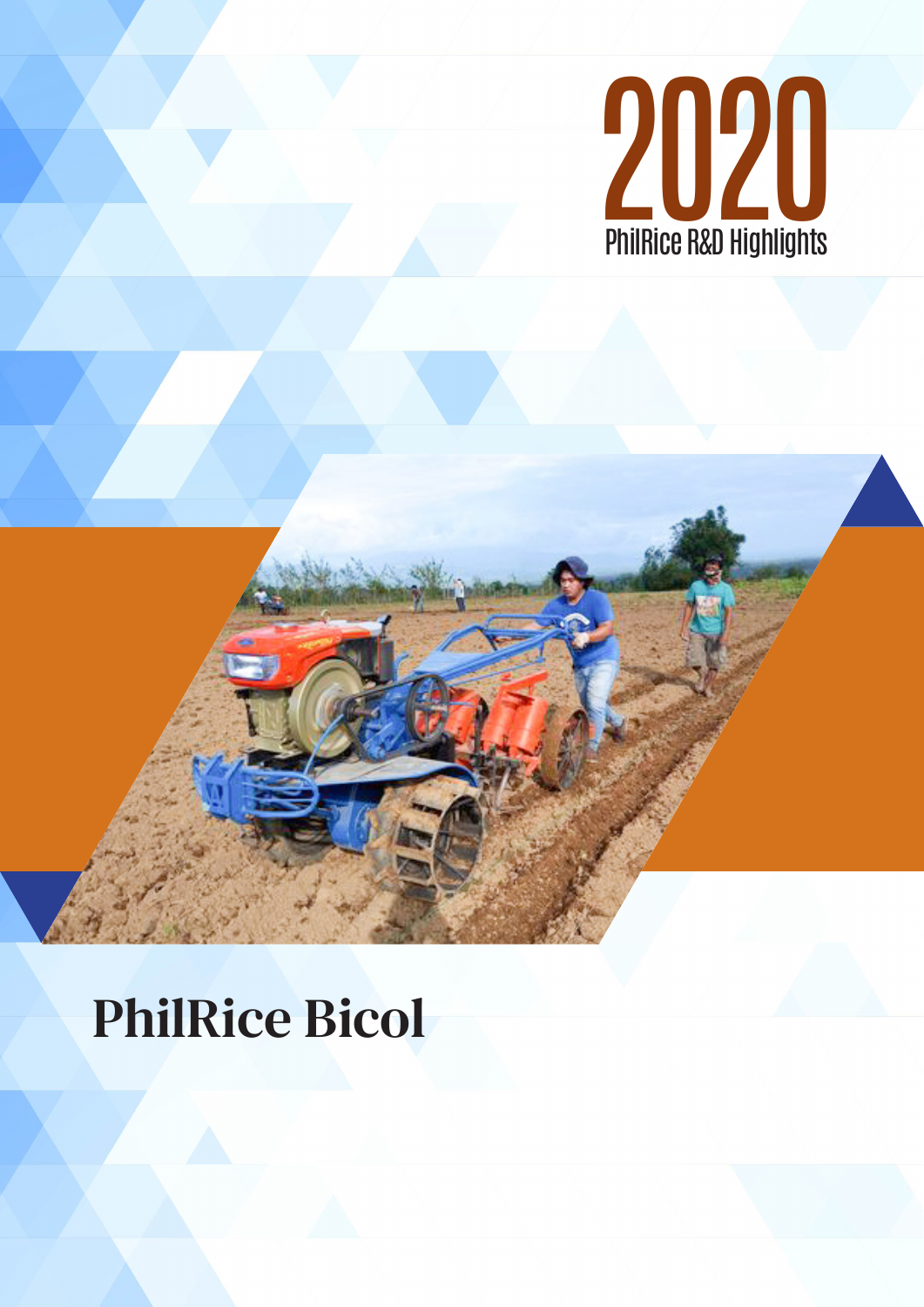

# PhilRice Bicol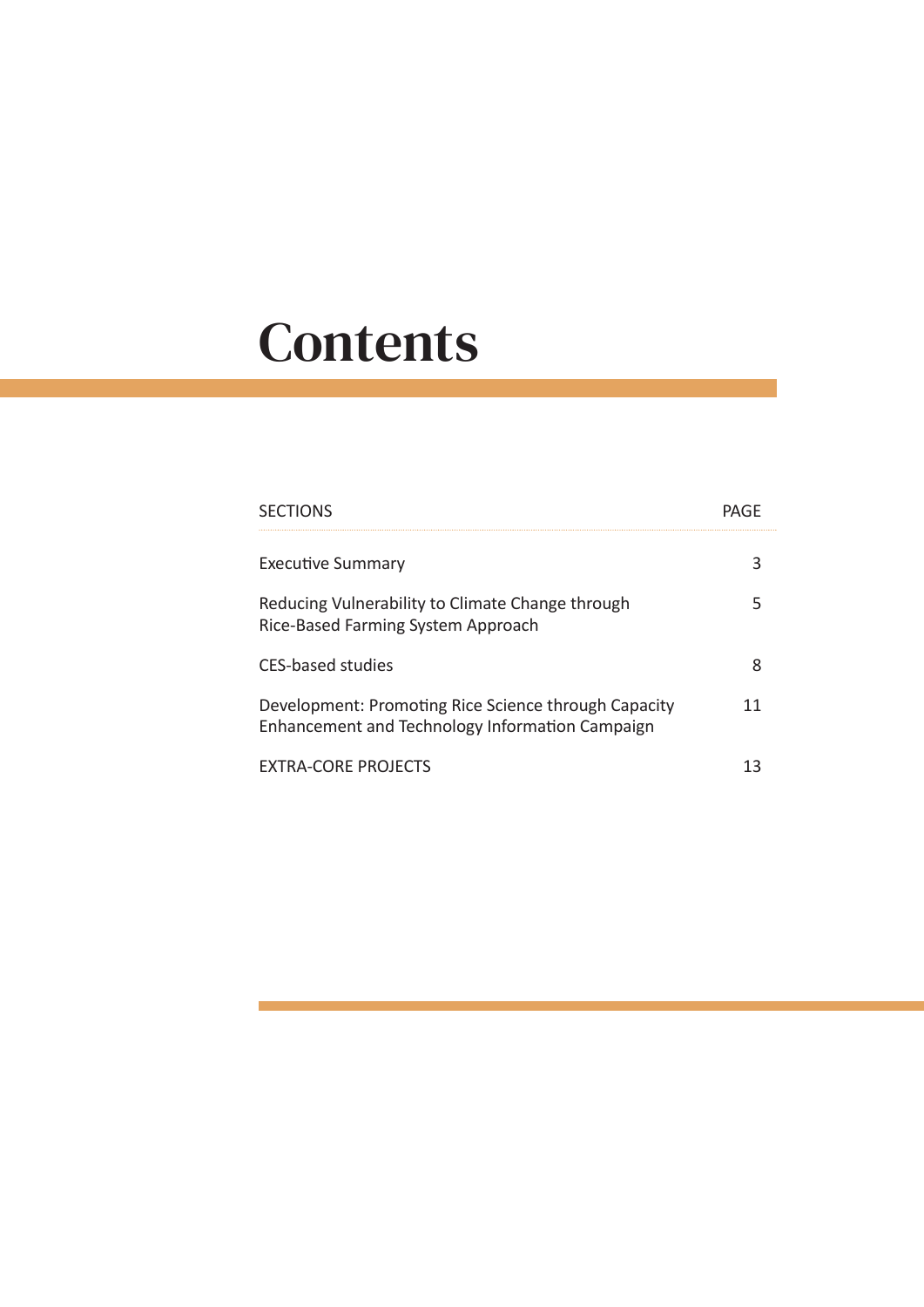# **Contents**

| <b>SECTIONS</b>                    |                                                                                                         |   |
|------------------------------------|---------------------------------------------------------------------------------------------------------|---|
| Executive Summary                  |                                                                                                         |   |
| Rice-Based Farming System Approach | Reducing Vulnerability to Climate Change through                                                        |   |
| CFS-based studies                  |                                                                                                         | 8 |
|                                    | Development: Promoting Rice Science through Capacity<br>Enhancement and Technology Information Campaign |   |
| <b>FXTRA-CORF PROJECTS</b>         |                                                                                                         |   |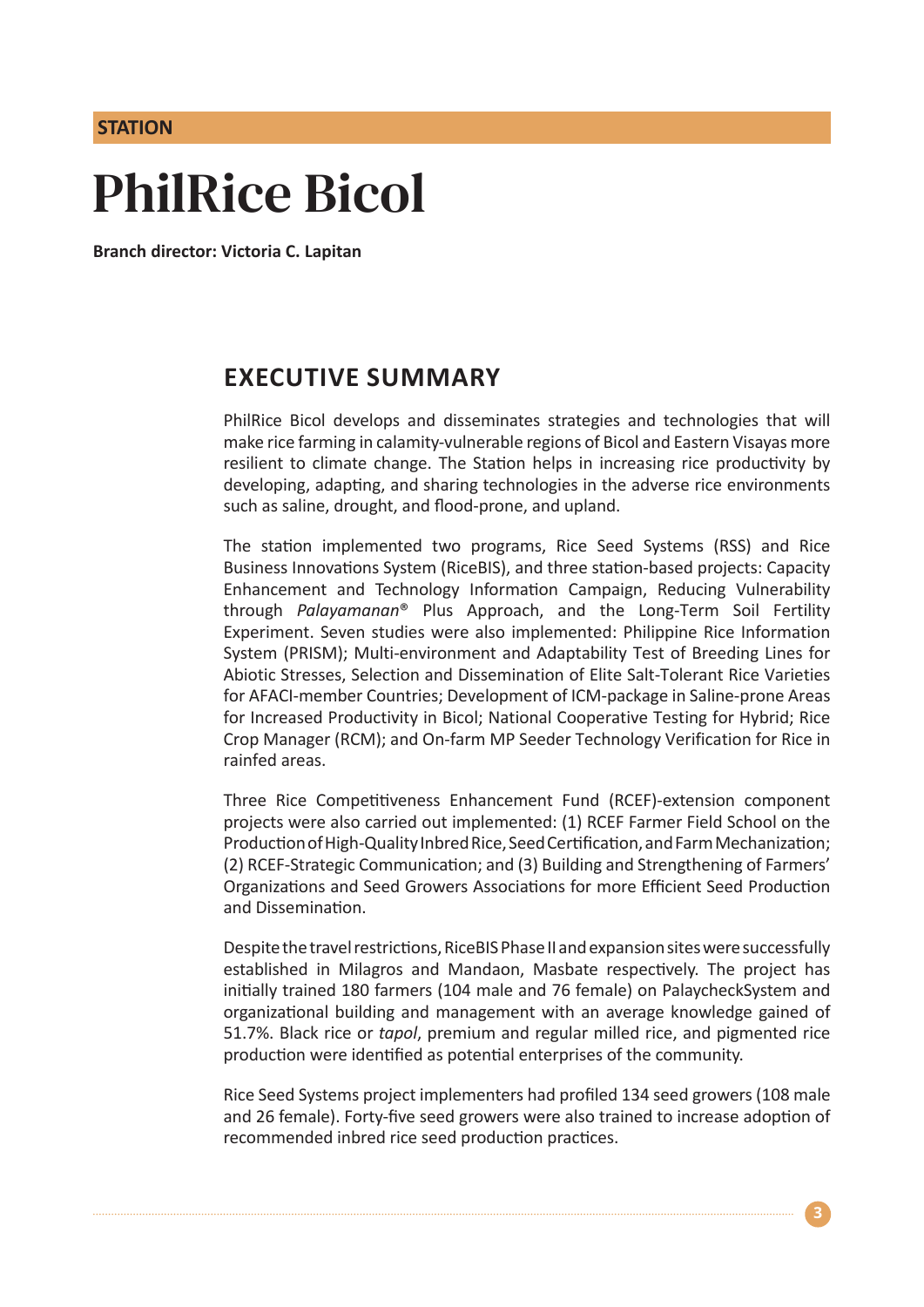## **STATION**

# PhilRice Bicol

**Branch director: Victoria C. Lapitan**

## **EXECUTIVE SUMMARY**

PhilRice Bicol develops and disseminates strategies and technologies that will make rice farming in calamity-vulnerable regions of Bicol and Eastern Visayas more resilient to climate change. The Station helps in increasing rice productivity by developing, adapting, and sharing technologies in the adverse rice environments such as saline, drought, and flood-prone, and upland.

The station implemented two programs, Rice Seed Systems (RSS) and Rice Business Innovations System (RiceBIS), and three station-based projects: Capacity Enhancement and Technology Information Campaign, Reducing Vulnerability through *Palayamanan*® Plus Approach, and the Long-Term Soil Fertility Experiment. Seven studies were also implemented: Philippine Rice Information System (PRISM); Multi-environment and Adaptability Test of Breeding Lines for Abiotic Stresses, Selection and Dissemination of Elite Salt-Tolerant Rice Varieties for AFACI-member Countries; Development of ICM-package in Saline-prone Areas for Increased Productivity in Bicol; National Cooperative Testing for Hybrid; Rice Crop Manager (RCM); and On-farm MP Seeder Technology Verification for Rice in rainfed areas.

Three Rice Competitiveness Enhancement Fund (RCEF)-extension component projects were also carried out implemented: (1) RCEF Farmer Field School on the Production of High-Quality Inbred Rice, Seed Certification, and Farm Mechanization; (2) RCEF-Strategic Communication; and (3) Building and Strengthening of Farmers' Organizations and Seed Growers Associations for more Efficient Seed Production and Dissemination.

Despite the travel restrictions, RiceBIS Phase II and expansion sites were successfully established in Milagros and Mandaon, Masbate respectively. The project has initially trained 180 farmers (104 male and 76 female) on PalaycheckSystem and organizational building and management with an average knowledge gained of 51.7%. Black rice or *tapol*, premium and regular milled rice, and pigmented rice production were identified as potential enterprises of the community.

Rice Seed Systems project implementers had profiled 134 seed growers (108 male and 26 female). Forty-five seed growers were also trained to increase adoption of recommended inbred rice seed production practices.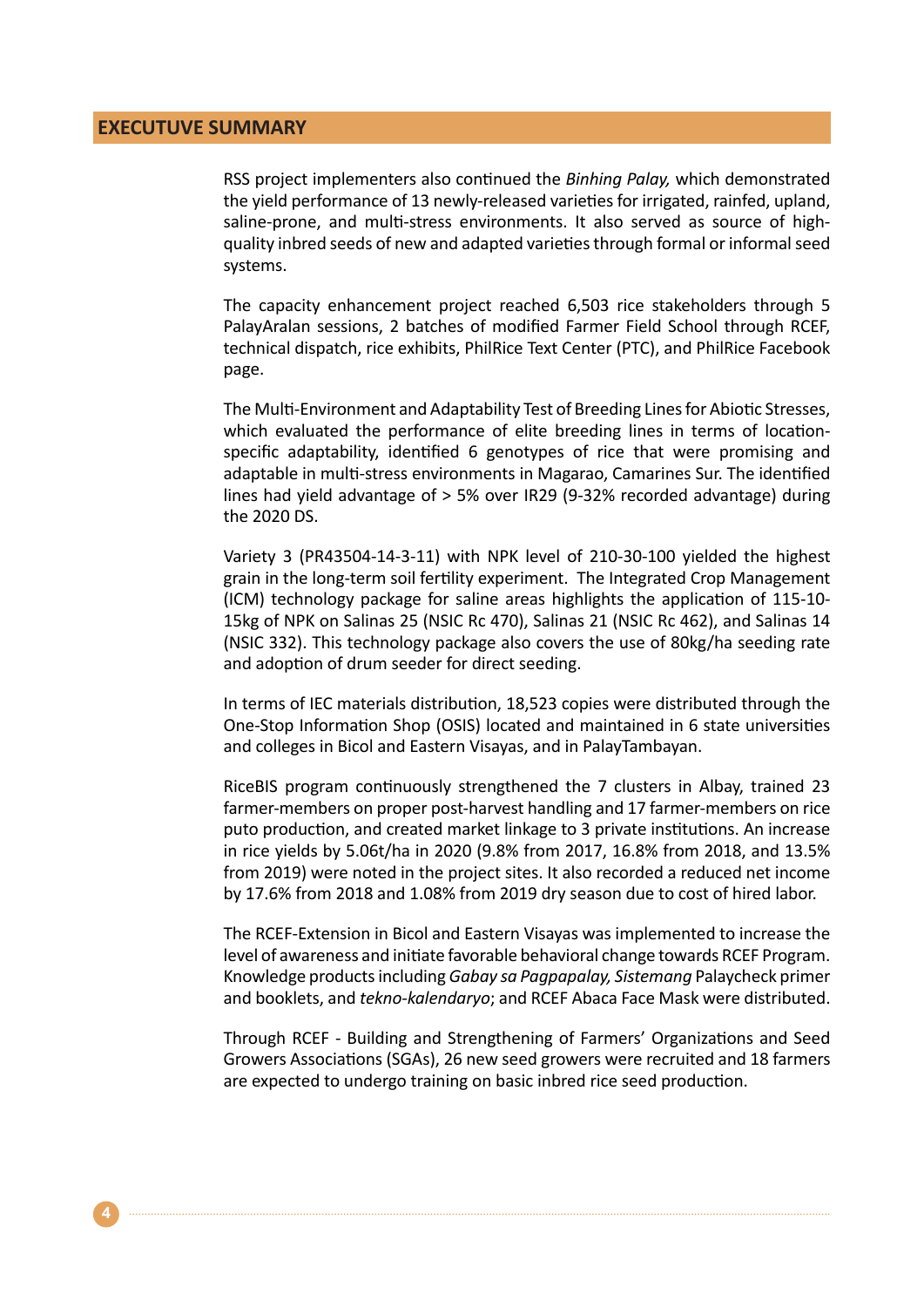## **EXECUTUVE SUMMARY**

RSS project implementers also continued the *Binhing Palay,* which demonstrated the yield performance of 13 newly-released varieties for irrigated, rainfed, upland, saline-prone, and multi-stress environments. It also served as source of highquality inbred seeds of new and adapted varieties through formal or informal seed systems.

The capacity enhancement project reached 6,503 rice stakeholders through 5 PalayAralan sessions, 2 batches of modified Farmer Field School through RCEF, technical dispatch, rice exhibits, PhilRice Text Center (PTC), and PhilRice Facebook page.

The Multi-Environment and Adaptability Test of Breeding Lines for Abiotic Stresses, which evaluated the performance of elite breeding lines in terms of locationspecific adaptability, identified 6 genotypes of rice that were promising and adaptable in multi-stress environments in Magarao, Camarines Sur. The identified lines had yield advantage of > 5% over IR29 (9-32% recorded advantage) during the 2020 DS.

Variety 3 (PR43504-14-3-11) with NPK level of 210-30-100 yielded the highest grain in the long-term soil fertility experiment. The Integrated Crop Management (ICM) technology package for saline areas highlights the application of 115-10- 15kg of NPK on Salinas 25 (NSIC Rc 470), Salinas 21 (NSIC Rc 462), and Salinas 14 (NSIC 332). This technology package also covers the use of 80kg/ha seeding rate and adoption of drum seeder for direct seeding.

In terms of IEC materials distribution, 18,523 copies were distributed through the One-Stop Information Shop (OSIS) located and maintained in 6 state universities and colleges in Bicol and Eastern Visayas, and in PalayTambayan.

RiceBIS program continuously strengthened the 7 clusters in Albay, trained 23 farmer-members on proper post-harvest handling and 17 farmer-members on rice puto production, and created market linkage to 3 private institutions. An increase in rice yields by 5.06t/ha in 2020 (9.8% from 2017, 16.8% from 2018, and 13.5% from 2019) were noted in the project sites. It also recorded a reduced net income by 17.6% from 2018 and 1.08% from 2019 dry season due to cost of hired labor.

The RCEF-Extension in Bicol and Eastern Visayas was implemented to increase the level of awareness and initiate favorable behavioral change towards RCEF Program. Knowledge products including *Gabay sa Pagpapalay, Sistemang* Palaycheck primer and booklets, and *tekno-kalendaryo*; and RCEF Abaca Face Mask were distributed.

Through RCEF - Building and Strengthening of Farmers' Organizations and Seed Growers Associations (SGAs), 26 new seed growers were recruited and 18 farmers are expected to undergo training on basic inbred rice seed production.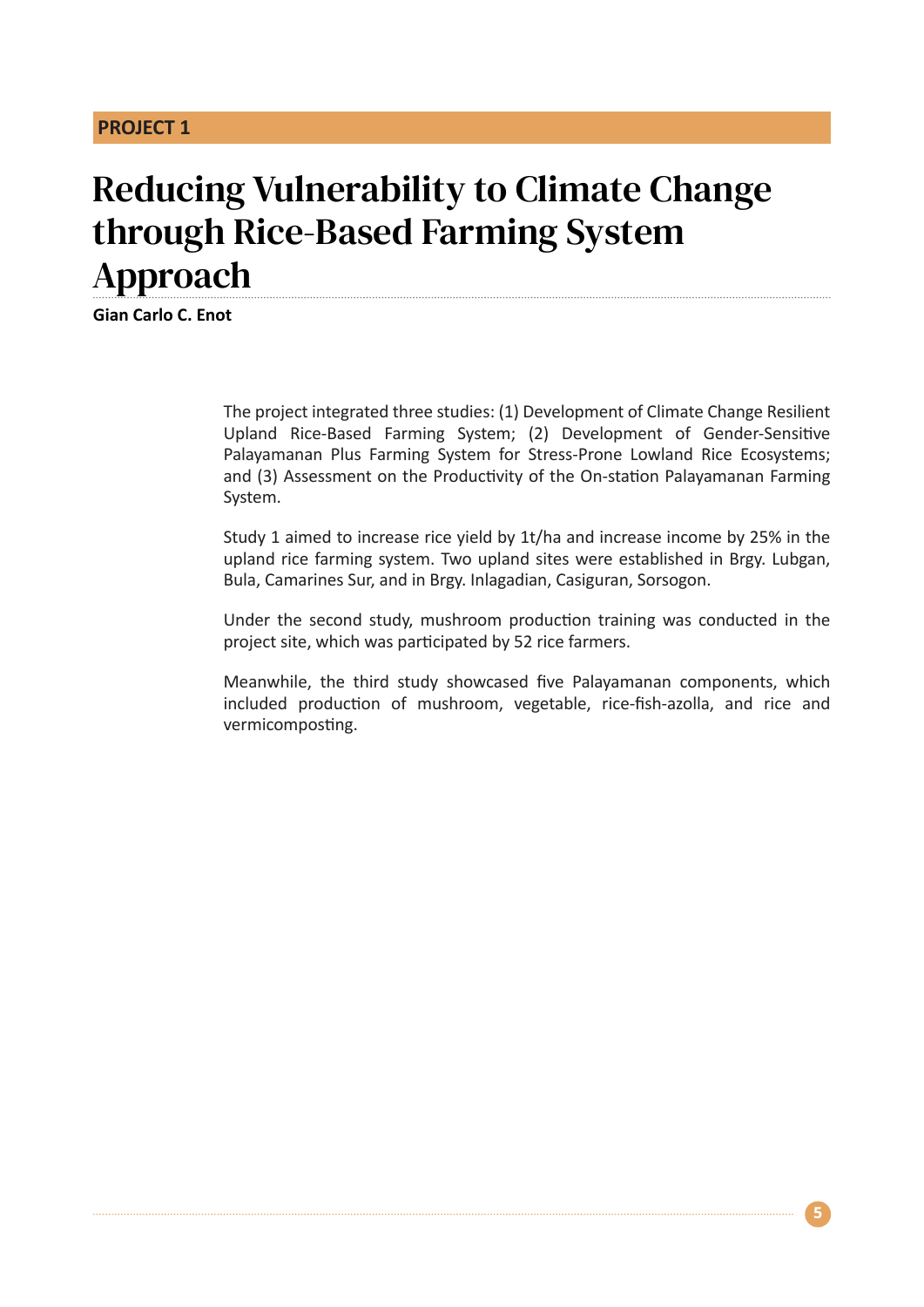## **PROJECT 1**

# Reducing Vulnerability to Climate Change through Rice-Based Farming System Approach

**Gian Carlo C. Enot** 

The project integrated three studies: (1) Development of Climate Change Resilient Upland Rice-Based Farming System; (2) Development of Gender-Sensitive Palayamanan Plus Farming System for Stress-Prone Lowland Rice Ecosystems; and (3) Assessment on the Productivity of the On-station Palayamanan Farming System.

Study 1 aimed to increase rice yield by 1t/ha and increase income by 25% in the upland rice farming system. Two upland sites were established in Brgy. Lubgan, Bula, Camarines Sur, and in Brgy. Inlagadian, Casiguran, Sorsogon.

Under the second study, mushroom production training was conducted in the project site, which was participated by 52 rice farmers.

Meanwhile, the third study showcased five Palayamanan components, which included production of mushroom, vegetable, rice-fish-azolla, and rice and vermicomposting.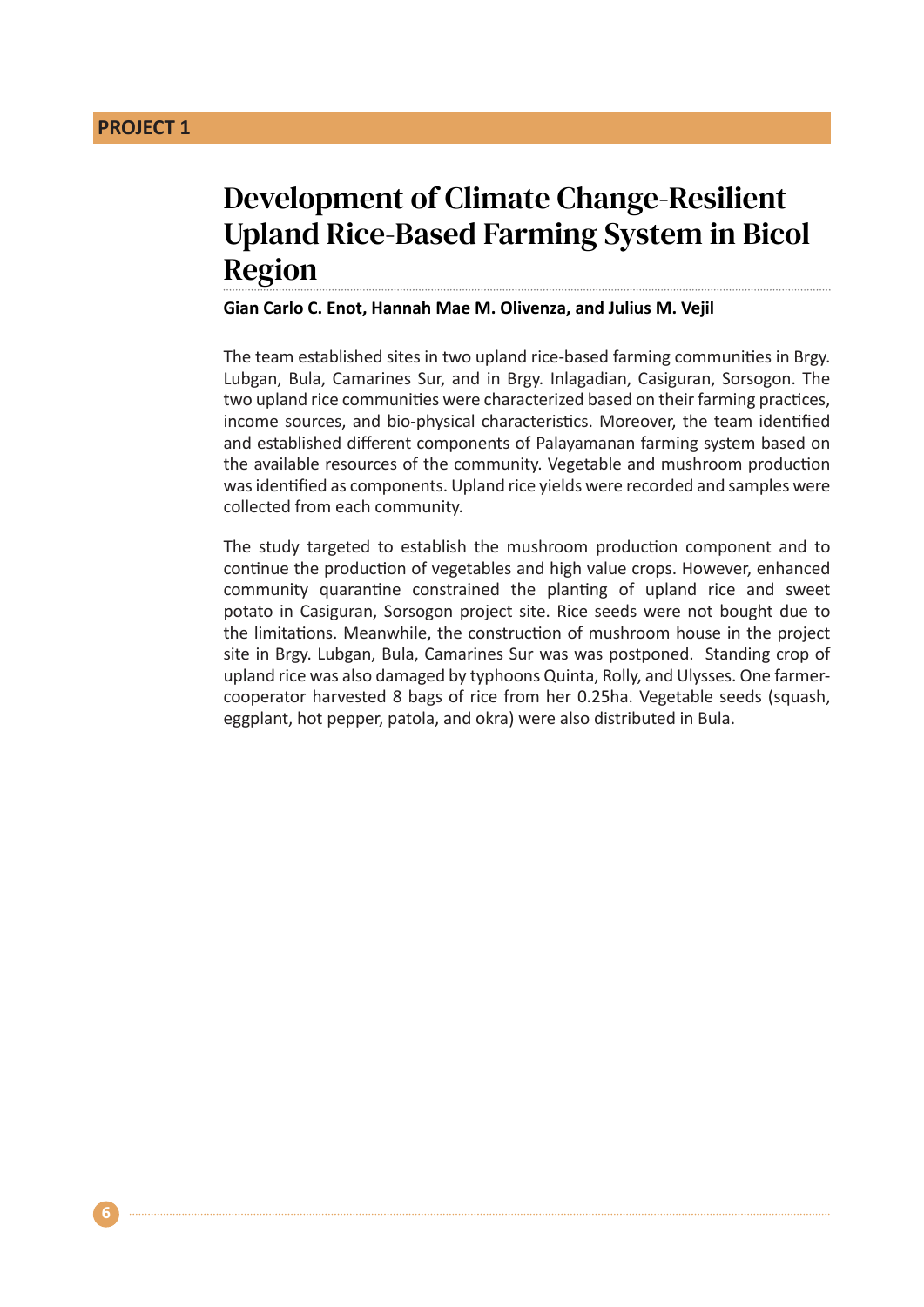**6**

## Development of Climate Change-Resilient Upland Rice-Based Farming System in Bicol Region

#### **Gian Carlo C. Enot, Hannah Mae M. Olivenza, and Julius M. Vejil**

The team established sites in two upland rice-based farming communities in Brgy. Lubgan, Bula, Camarines Sur, and in Brgy. Inlagadian, Casiguran, Sorsogon. The two upland rice communities were characterized based on their farming practices, income sources, and bio-physical characteristics. Moreover, the team identified and established different components of Palayamanan farming system based on the available resources of the community. Vegetable and mushroom production was identified as components. Upland rice yields were recorded and samples were collected from each community.

The study targeted to establish the mushroom production component and to continue the production of vegetables and high value crops. However, enhanced community quarantine constrained the planting of upland rice and sweet potato in Casiguran, Sorsogon project site. Rice seeds were not bought due to the limitations. Meanwhile, the construction of mushroom house in the project site in Brgy. Lubgan, Bula, Camarines Sur was was postponed. Standing crop of upland rice was also damaged by typhoons Quinta, Rolly, and Ulysses. One farmercooperator harvested 8 bags of rice from her 0.25ha. Vegetable seeds (squash, eggplant, hot pepper, patola, and okra) were also distributed in Bula.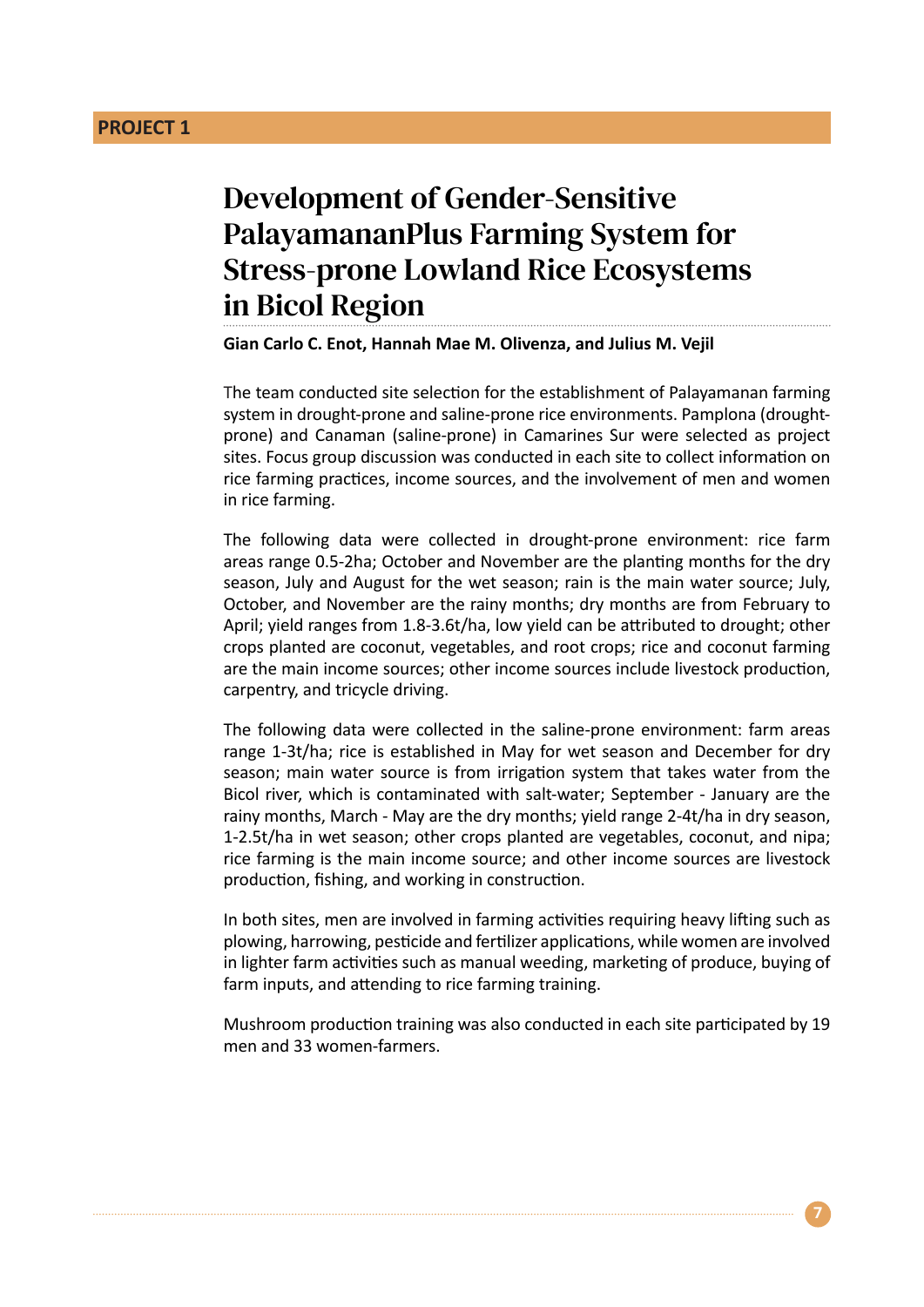## **PROJECT 1**

# Development of Gender-Sensitive PalayamananPlus Farming System for Stress-prone Lowland Rice Ecosystems in Bicol Region

**Gian Carlo C. Enot, Hannah Mae M. Olivenza, and Julius M. Vejil**

The team conducted site selection for the establishment of Palayamanan farming system in drought-prone and saline-prone rice environments. Pamplona (droughtprone) and Canaman (saline-prone) in Camarines Sur were selected as project sites. Focus group discussion was conducted in each site to collect information on rice farming practices, income sources, and the involvement of men and women in rice farming.

The following data were collected in drought-prone environment: rice farm areas range 0.5-2ha; October and November are the planting months for the dry season, July and August for the wet season; rain is the main water source; July, October, and November are the rainy months; dry months are from February to April; yield ranges from 1.8-3.6t/ha, low yield can be attributed to drought; other crops planted are coconut, vegetables, and root crops; rice and coconut farming are the main income sources; other income sources include livestock production, carpentry, and tricycle driving.

The following data were collected in the saline-prone environment: farm areas range 1-3t/ha; rice is established in May for wet season and December for dry season; main water source is from irrigation system that takes water from the Bicol river, which is contaminated with salt-water; September - January are the rainy months, March - May are the dry months; yield range 2-4t/ha in dry season, 1-2.5t/ha in wet season; other crops planted are vegetables, coconut, and nipa; rice farming is the main income source; and other income sources are livestock production, fishing, and working in construction.

In both sites, men are involved in farming activities requiring heavy lifting such as plowing, harrowing, pesticide and fertilizer applications, while women are involved in lighter farm activities such as manual weeding, marketing of produce, buying of farm inputs, and attending to rice farming training.

Mushroom production training was also conducted in each site participated by 19 men and 33 women-farmers.

**7**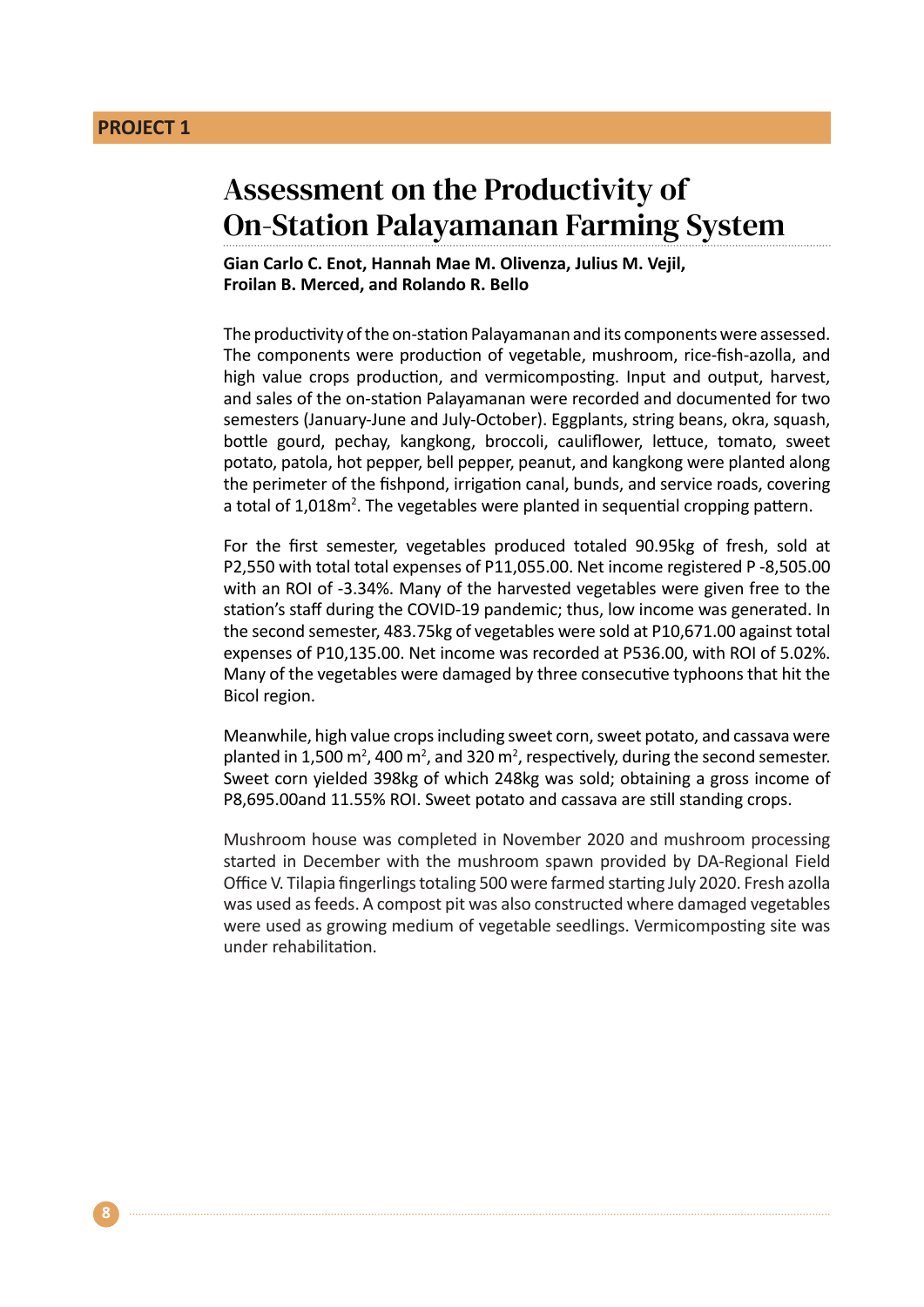## Assessment on the Productivity of On-Station Palayamanan Farming System

**Gian Carlo C. Enot, Hannah Mae M. Olivenza, Julius M. Vejil, Froilan B. Merced, and Rolando R. Bello**

The productivity of the on-station Palayamanan and its components were assessed. The components were production of vegetable, mushroom, rice-fish-azolla, and high value crops production, and vermicomposting. Input and output, harvest, and sales of the on-station Palayamanan were recorded and documented for two semesters (January-June and July-October). Eggplants, string beans, okra, squash, bottle gourd, pechay, kangkong, broccoli, cauliflower, lettuce, tomato, sweet potato, patola, hot pepper, bell pepper, peanut, and kangkong were planted along the perimeter of the fishpond, irrigation canal, bunds, and service roads, covering a total of 1,018m<sup>2</sup>. The vegetables were planted in sequential cropping pattern.

For the first semester, vegetables produced totaled 90.95kg of fresh, sold at P2,550 with total total expenses of P11,055.00. Net income registered P -8,505.00 with an ROI of -3.34%. Many of the harvested vegetables were given free to the station's staff during the COVID-19 pandemic; thus, low income was generated. In the second semester, 483.75kg of vegetables were sold at P10,671.00 against total expenses of P10,135.00. Net income was recorded at P536.00, with ROI of 5.02%. Many of the vegetables were damaged by three consecutive typhoons that hit the Bicol region.

Meanwhile, high value crops including sweet corn, sweet potato, and cassava were planted in 1,500 m<sup>2</sup>, 400 m<sup>2</sup>, and 320 m<sup>2</sup>, respectively, during the second semester. Sweet corn yielded 398kg of which 248kg was sold; obtaining a gross income of P8,695.00and 11.55% ROI. Sweet potato and cassava are still standing crops.

Mushroom house was completed in November 2020 and mushroom processing started in December with the mushroom spawn provided by DA-Regional Field Office V. Tilapia fingerlings totaling 500 were farmed starting July 2020. Fresh azolla was used as feeds. A compost pit was also constructed where damaged vegetables were used as growing medium of vegetable seedlings. Vermicomposting site was under rehabilitation.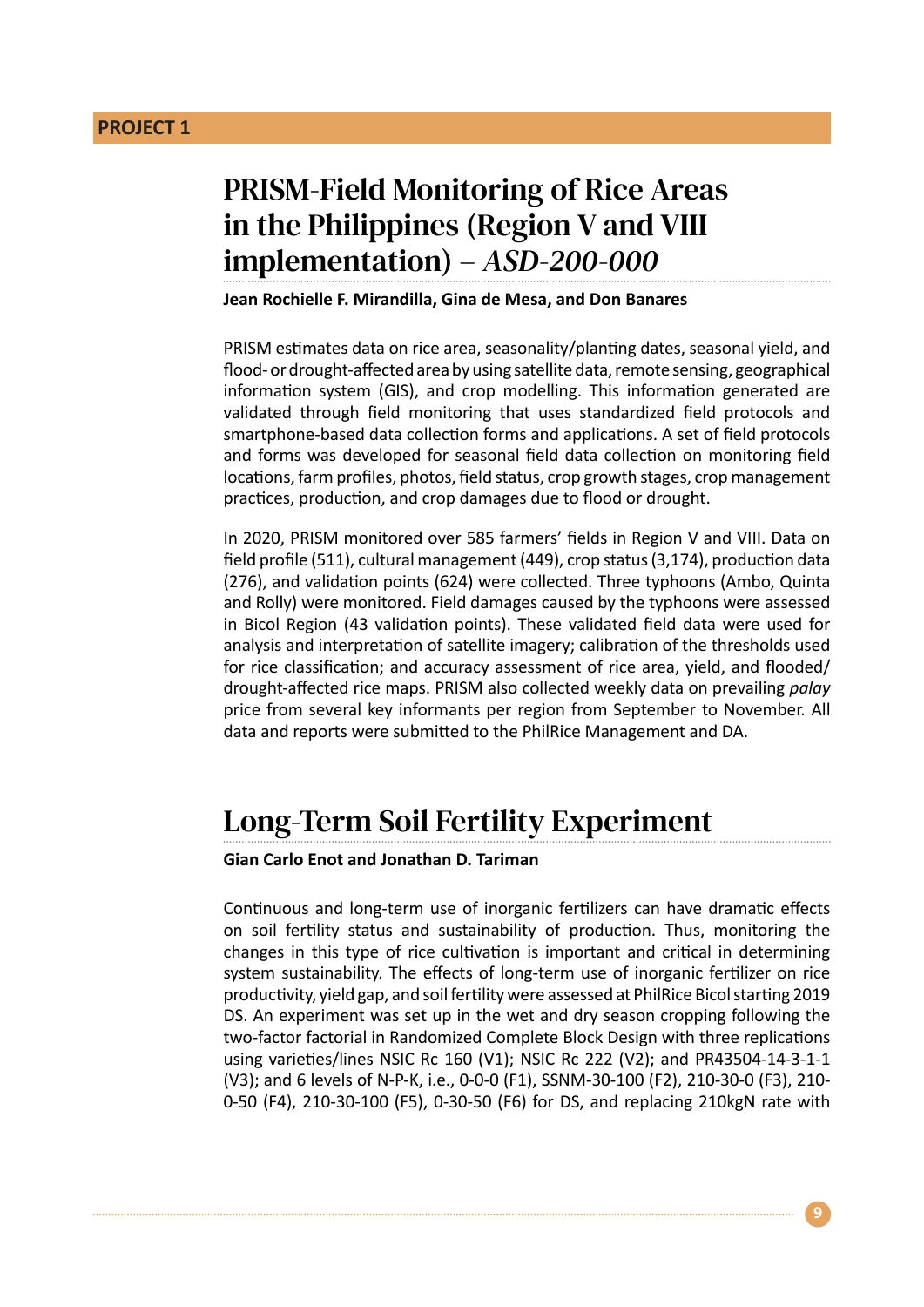## PRISM-Field Monitoring of Rice Areas in the Philippines (Region V and VIII implementation) – *ASD-200-000*

**Jean Rochielle F. Mirandilla, Gina de Mesa, and Don Banares**

PRISM estimates data on rice area, seasonality/planting dates, seasonal yield, and flood- or drought-affected area by using satellite data, remote sensing, geographical information system (GIS), and crop modelling. This information generated are validated through field monitoring that uses standardized field protocols and smartphone-based data collection forms and applications. A set of field protocols and forms was developed for seasonal field data collection on monitoring field locations, farm profiles, photos, field status, crop growth stages, crop management practices, production, and crop damages due to flood or drought.

In 2020, PRISM monitored over 585 farmers' fields in Region V and VIII. Data on field profile (511), cultural management (449), crop status (3,174), production data (276), and validation points (624) were collected. Three typhoons (Ambo, Quinta and Rolly) were monitored. Field damages caused by the typhoons were assessed in Bicol Region (43 validation points). These validated field data were used for analysis and interpretation of satellite imagery; calibration of the thresholds used for rice classification; and accuracy assessment of rice area, yield, and flooded/ drought-affected rice maps. PRISM also collected weekly data on prevailing *palay* price from several key informants per region from September to November. All data and reports were submitted to the PhilRice Management and DA.

## Long-Term Soil Fertility Experiment

**Gian Carlo Enot and Jonathan D. Tariman**

Continuous and long-term use of inorganic fertilizers can have dramatic effects on soil fertility status and sustainability of production. Thus, monitoring the changes in this type of rice cultivation is important and critical in determining system sustainability. The effects of long-term use of inorganic fertilizer on rice productivity, yield gap, and soil fertility were assessed at PhilRice Bicol starting 2019 DS. An experiment was set up in the wet and dry season cropping following the two-factor factorial in Randomized Complete Block Design with three replications using varieties/lines NSIC Rc 160 (V1); NSIC Rc 222 (V2); and PR43504-14-3-1-1 (V3); and 6 levels of N-P-K, i.e., 0-0-0 (F1), SSNM-30-100 (F2), 210-30-0 (F3), 210- 0-50 (F4), 210-30-100 (F5), 0-30-50 (F6) for DS, and replacing 210kgN rate with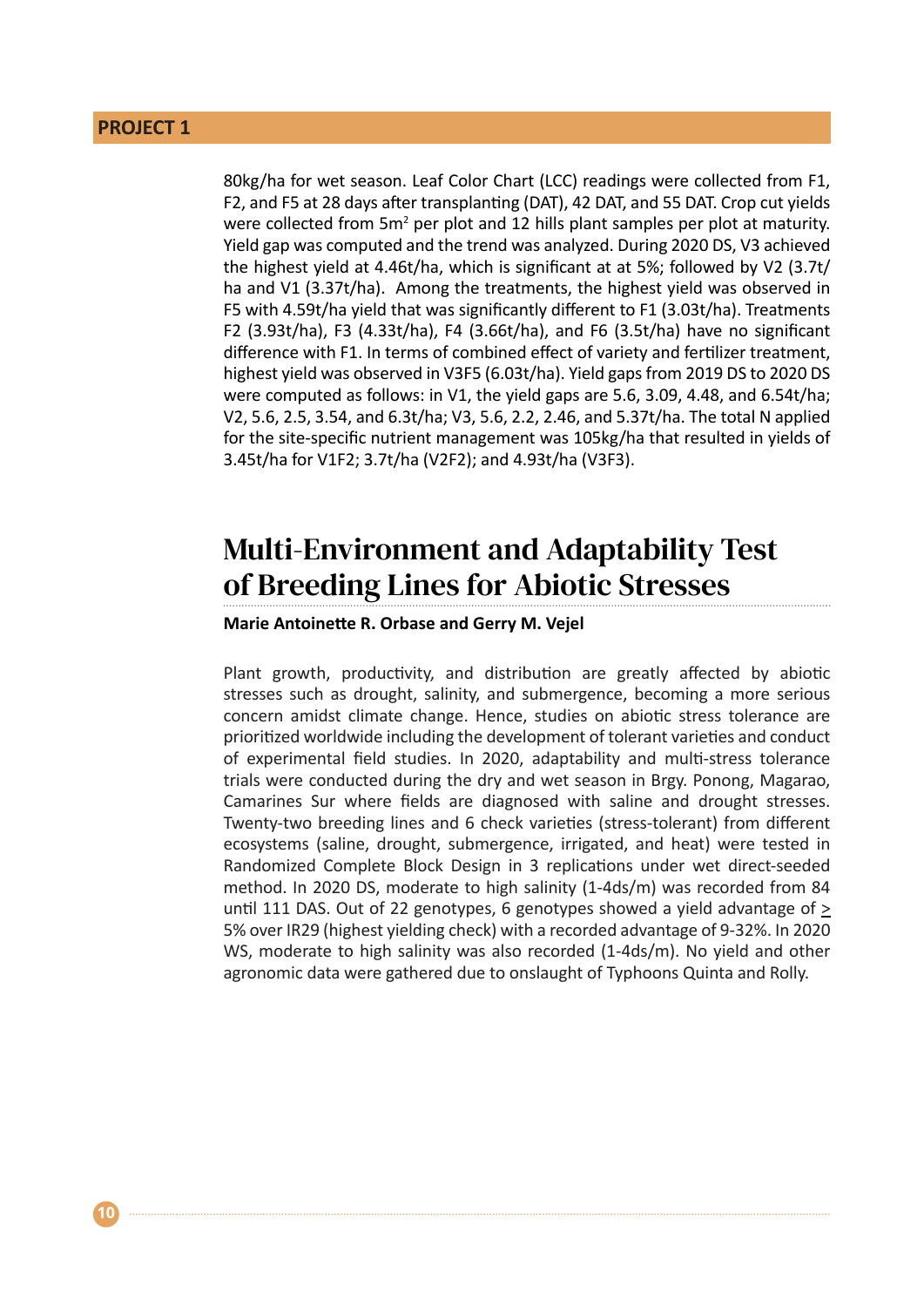### **PROJECT 1**

80kg/ha for wet season. Leaf Color Chart (LCC) readings were collected from F1, F2, and F5 at 28 days after transplanting (DAT), 42 DAT, and 55 DAT. Crop cut yields were collected from  $5m^2$  per plot and 12 hills plant samples per plot at maturity. Yield gap was computed and the trend was analyzed. During 2020 DS, V3 achieved the highest yield at 4.46t/ha, which is significant at at 5%; followed by V2 (3.7t/ ha and V1 (3.37t/ha). Among the treatments, the highest yield was observed in F5 with 4.59t/ha yield that was significantly different to F1 (3.03t/ha). Treatments F2 (3.93t/ha), F3 (4.33t/ha), F4 (3.66t/ha), and F6 (3.5t/ha) have no significant difference with F1. In terms of combined effect of variety and fertilizer treatment, highest yield was observed in V3F5 (6.03t/ha). Yield gaps from 2019 DS to 2020 DS were computed as follows: in V1, the yield gaps are 5.6, 3.09, 4.48, and 6.54t/ha; V2, 5.6, 2.5, 3.54, and 6.3t/ha; V3, 5.6, 2.2, 2.46, and 5.37t/ha. The total N applied for the site-specific nutrient management was 105kg/ha that resulted in yields of 3.45t/ha for V1F2; 3.7t/ha (V2F2); and 4.93t/ha (V3F3).

## Multi-Environment and Adaptability Test of Breeding Lines for Abiotic Stresses

### **Marie Antoinette R. Orbase and Gerry M. Vejel**

Plant growth, productivity, and distribution are greatly affected by abiotic stresses such as drought, salinity, and submergence, becoming a more serious concern amidst climate change. Hence, studies on abiotic stress tolerance are prioritized worldwide including the development of tolerant varieties and conduct of experimental field studies. In 2020, adaptability and multi-stress tolerance trials were conducted during the dry and wet season in Brgy. Ponong, Magarao, Camarines Sur where fields are diagnosed with saline and drought stresses. Twenty-two breeding lines and 6 check varieties (stress-tolerant) from different ecosystems (saline, drought, submergence, irrigated, and heat) were tested in Randomized Complete Block Design in 3 replications under wet direct-seeded method. In 2020 DS, moderate to high salinity (1-4ds/m) was recorded from 84 until 111 DAS. Out of 22 genotypes, 6 genotypes showed a yield advantage of > 5% over IR29 (highest yielding check) with a recorded advantage of 9-32%. In 2020 WS, moderate to high salinity was also recorded (1-4ds/m). No yield and other agronomic data were gathered due to onslaught of Typhoons Quinta and Rolly.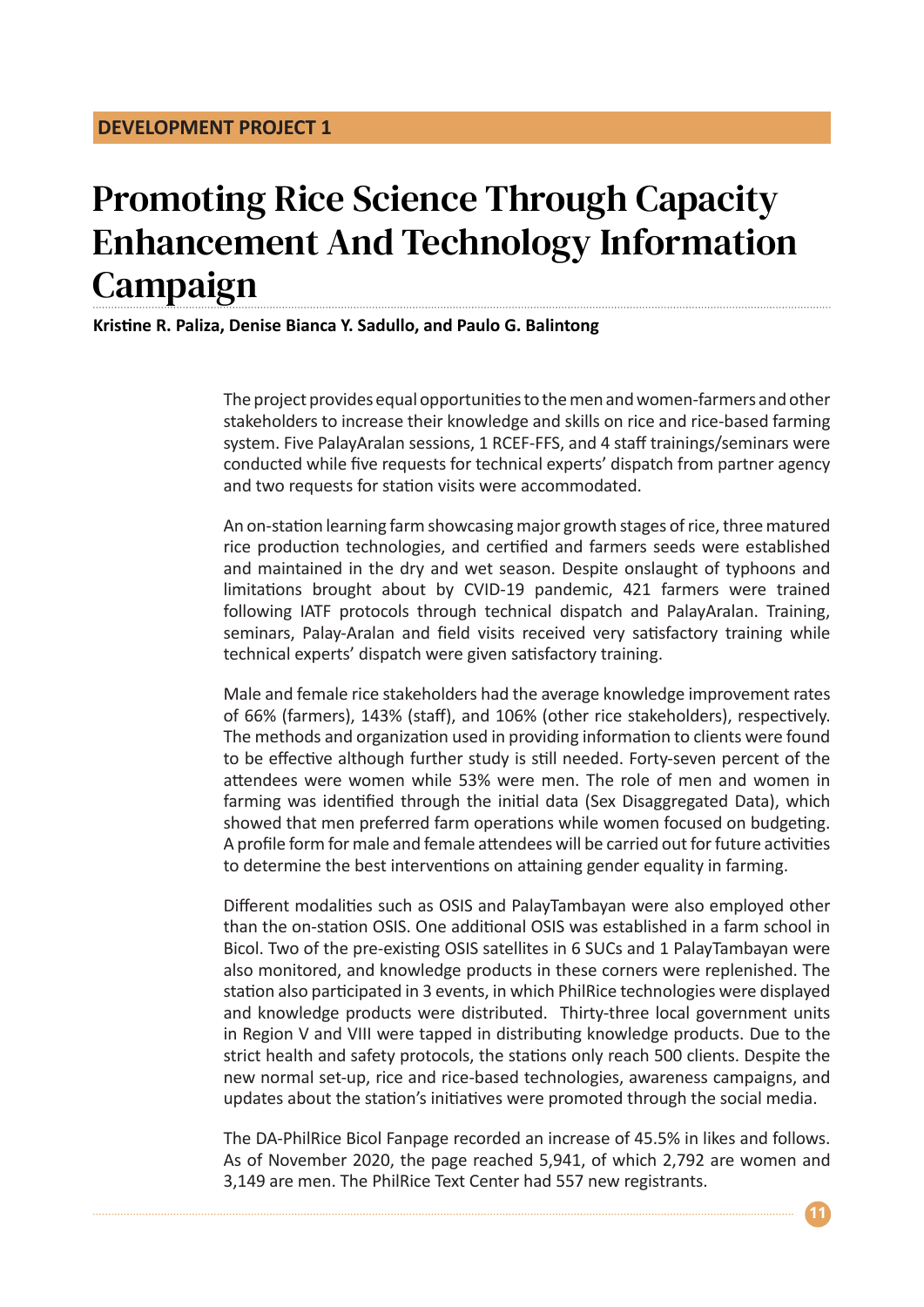# Promoting Rice Science Through Capacity Enhancement And Technology Information Campaign

### **Kristine R. Paliza, Denise Bianca Y. Sadullo, and Paulo G. Balintong**

The project provides equal opportunities to the men and women-farmers and other stakeholders to increase their knowledge and skills on rice and rice-based farming system. Five PalayAralan sessions, 1 RCEF-FFS, and 4 staff trainings/seminars were conducted while five requests for technical experts' dispatch from partner agency and two requests for station visits were accommodated.

An on-station learning farm showcasing major growth stages of rice, three matured rice production technologies, and certified and farmers seeds were established and maintained in the dry and wet season. Despite onslaught of typhoons and limitations brought about by CVID-19 pandemic, 421 farmers were trained following IATF protocols through technical dispatch and PalayAralan. Training, seminars, Palay-Aralan and field visits received very satisfactory training while technical experts' dispatch were given satisfactory training.

Male and female rice stakeholders had the average knowledge improvement rates of 66% (farmers), 143% (staff), and 106% (other rice stakeholders), respectively. The methods and organization used in providing information to clients were found to be effective although further study is still needed. Forty-seven percent of the attendees were women while 53% were men. The role of men and women in farming was identified through the initial data (Sex Disaggregated Data), which showed that men preferred farm operations while women focused on budgeting. A profile form for male and female attendees will be carried out for future activities to determine the best interventions on attaining gender equality in farming.

Different modalities such as OSIS and PalayTambayan were also employed other than the on-station OSIS. One additional OSIS was established in a farm school in Bicol. Two of the pre-existing OSIS satellites in 6 SUCs and 1 PalayTambayan were also monitored, and knowledge products in these corners were replenished. The station also participated in 3 events, in which PhilRice technologies were displayed and knowledge products were distributed. Thirty-three local government units in Region V and VIII were tapped in distributing knowledge products. Due to the strict health and safety protocols, the stations only reach 500 clients. Despite the new normal set-up, rice and rice-based technologies, awareness campaigns, and updates about the station's initiatives were promoted through the social media.

The DA-PhilRice Bicol Fanpage recorded an increase of 45.5% in likes and follows. As of November 2020, the page reached 5,941, of which 2,792 are women and 3,149 are men. The PhilRice Text Center had 557 new registrants.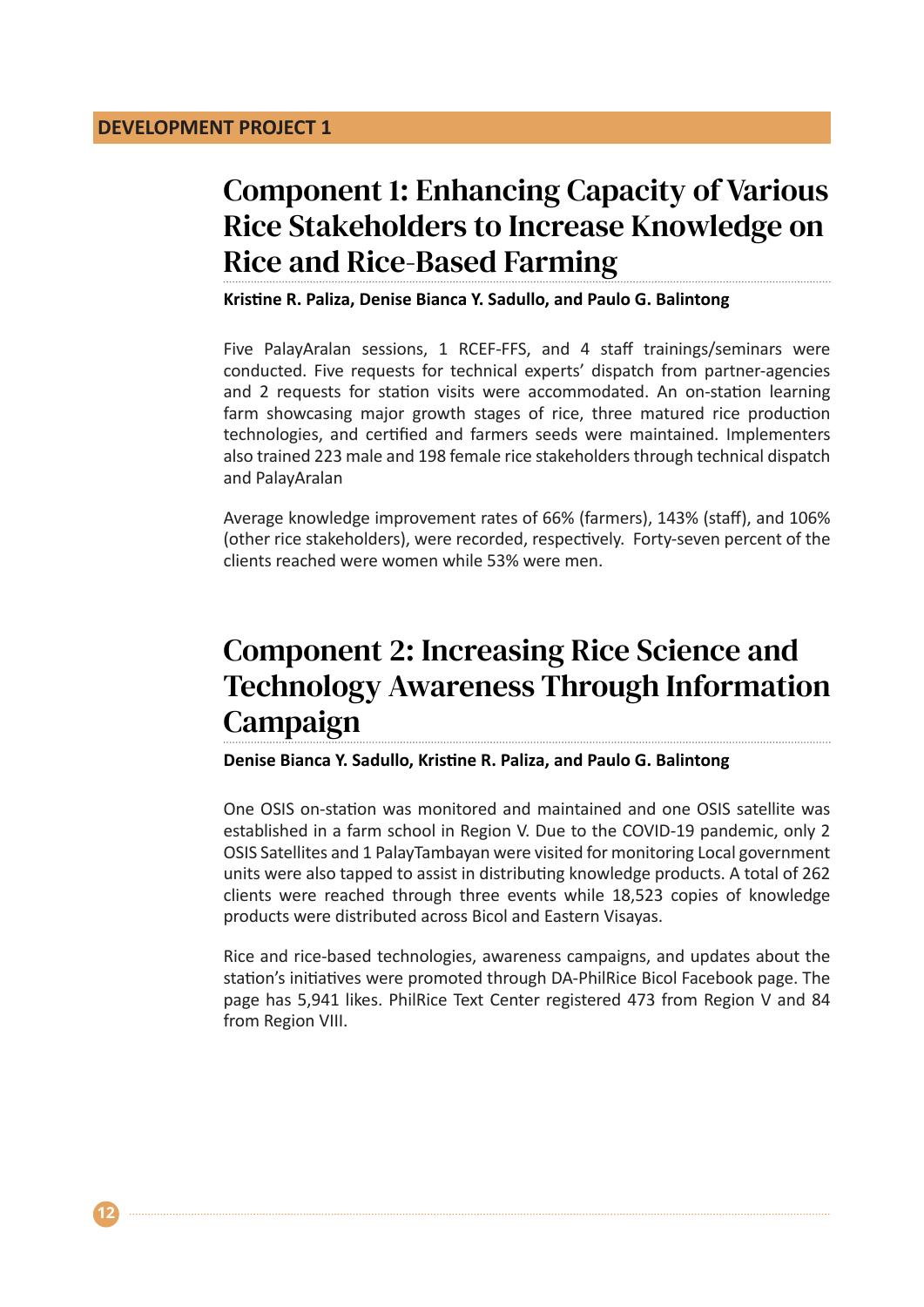**12**

# Component 1: Enhancing Capacity of Various Rice Stakeholders to Increase Knowledge on Rice and Rice-Based Farming

**Kristine R. Paliza, Denise Bianca Y. Sadullo, and Paulo G. Balintong**

Five PalayAralan sessions, 1 RCEF-FFS, and 4 staff trainings/seminars were conducted. Five requests for technical experts' dispatch from partner-agencies and 2 requests for station visits were accommodated. An on-station learning farm showcasing major growth stages of rice, three matured rice production technologies, and certified and farmers seeds were maintained. Implementers also trained 223 male and 198 female rice stakeholders through technical dispatch and PalayAralan

Average knowledge improvement rates of 66% (farmers), 143% (staff), and 106% (other rice stakeholders), were recorded, respectively. Forty-seven percent of the clients reached were women while 53% were men.

# Component 2: Increasing Rice Science and Technology Awareness Through Information Campaign

**Denise Bianca Y. Sadullo, Kristine R. Paliza, and Paulo G. Balintong**

One OSIS on-station was monitored and maintained and one OSIS satellite was established in a farm school in Region V. Due to the COVID-19 pandemic, only 2 OSIS Satellites and 1 PalayTambayan were visited for monitoring Local government units were also tapped to assist in distributing knowledge products. A total of 262 clients were reached through three events while 18,523 copies of knowledge products were distributed across Bicol and Eastern Visayas.

Rice and rice-based technologies, awareness campaigns, and updates about the station's initiatives were promoted through DA-PhilRice Bicol Facebook page. The page has 5,941 likes. PhilRice Text Center registered 473 from Region V and 84 from Region VIII.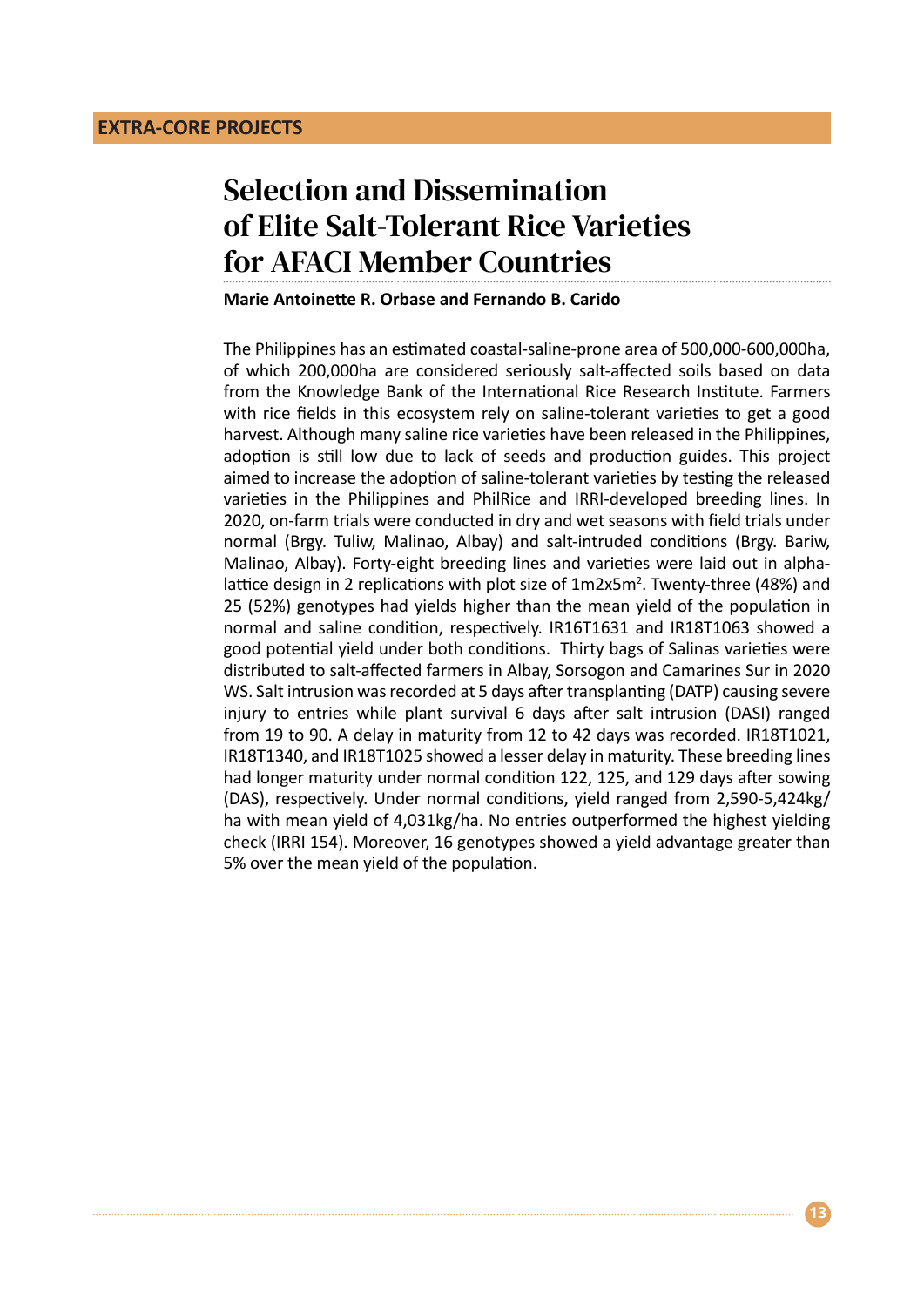# Selection and Dissemination of Elite Salt-Tolerant Rice Varieties for AFACI Member Countries

#### **Marie Antoinette R. Orbase and Fernando B. Carido**

The Philippines has an estimated coastal-saline-prone area of 500,000-600,000ha, of which 200,000ha are considered seriously salt-affected soils based on data from the Knowledge Bank of the International Rice Research Institute. Farmers with rice fields in this ecosystem rely on saline-tolerant varieties to get a good harvest. Although many saline rice varieties have been released in the Philippines, adoption is still low due to lack of seeds and production guides. This project aimed to increase the adoption of saline-tolerant varieties by testing the released varieties in the Philippines and PhilRice and IRRI-developed breeding lines. In 2020, on-farm trials were conducted in dry and wet seasons with field trials under normal (Brgy. Tuliw, Malinao, Albay) and salt-intruded conditions (Brgy. Bariw, Malinao, Albay). Forty-eight breeding lines and varieties were laid out in alphalattice design in 2 replications with plot size of 1m2x5m<sup>2</sup>. Twenty-three (48%) and 25 (52%) genotypes had yields higher than the mean yield of the population in normal and saline condition, respectively. IR16T1631 and IR18T1063 showed a good potential yield under both conditions. Thirty bags of Salinas varieties were distributed to salt-affected farmers in Albay, Sorsogon and Camarines Sur in 2020 WS. Salt intrusion was recorded at 5 days after transplanting (DATP) causing severe injury to entries while plant survival 6 days after salt intrusion (DASI) ranged from 19 to 90. A delay in maturity from 12 to 42 days was recorded. IR18T1021, IR18T1340, and IR18T1025 showed a lesser delay in maturity. These breeding lines had longer maturity under normal condition 122, 125, and 129 days after sowing (DAS), respectively. Under normal conditions, yield ranged from 2,590-5,424kg/ ha with mean yield of 4,031kg/ha. No entries outperformed the highest yielding check (IRRI 154). Moreover, 16 genotypes showed a yield advantage greater than 5% over the mean yield of the population.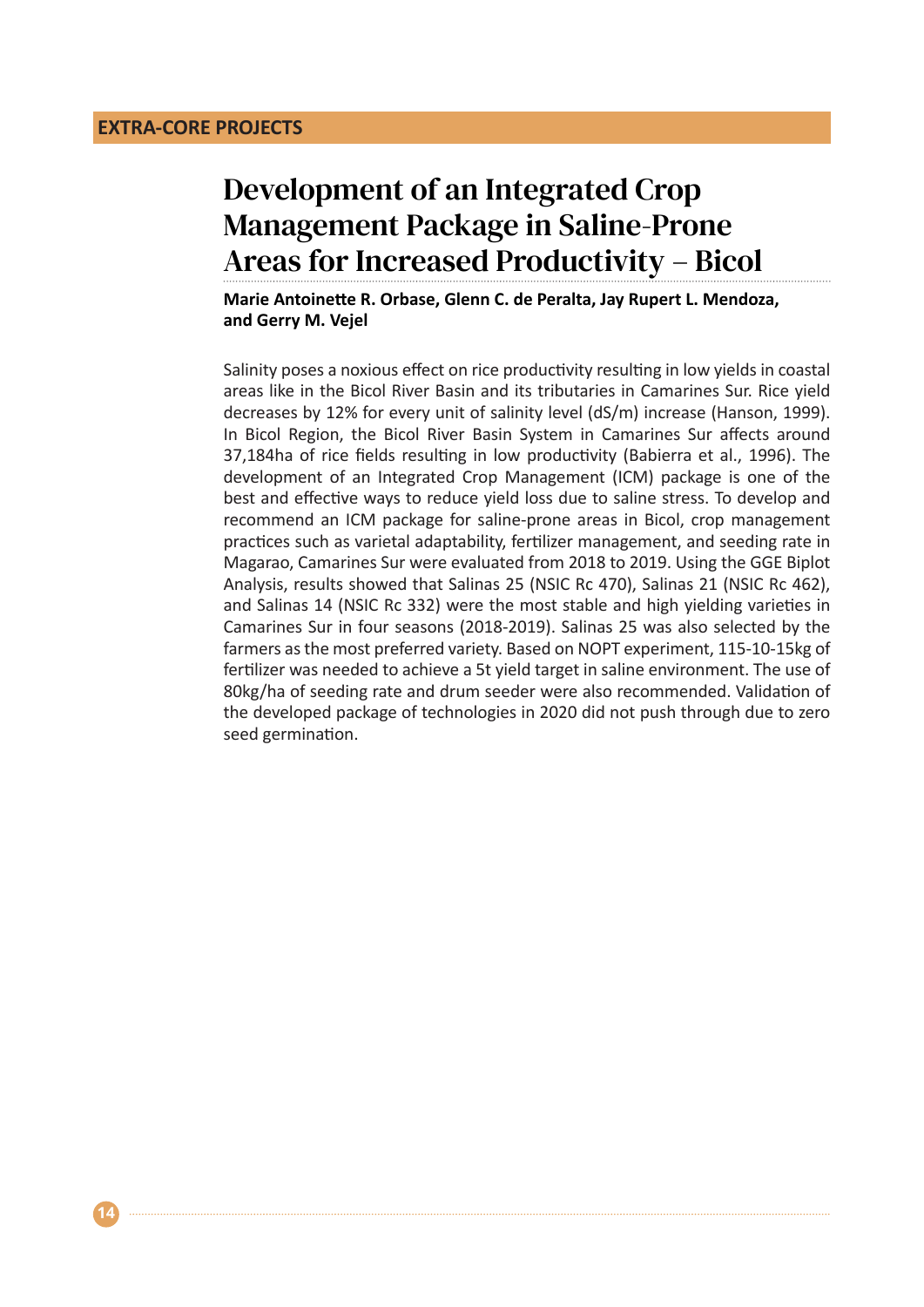# Development of an Integrated Crop Management Package in Saline-Prone Areas for Increased Productivity – Bicol

**Marie Antoinette R. Orbase, Glenn C. de Peralta, Jay Rupert L. Mendoza, and Gerry M. Vejel**

Salinity poses a noxious effect on rice productivity resulting in low yields in coastal areas like in the Bicol River Basin and its tributaries in Camarines Sur. Rice yield decreases by 12% for every unit of salinity level (dS/m) increase (Hanson, 1999). In Bicol Region, the Bicol River Basin System in Camarines Sur affects around 37,184ha of rice fields resulting in low productivity (Babierra et al., 1996). The development of an Integrated Crop Management (ICM) package is one of the best and effective ways to reduce yield loss due to saline stress. To develop and recommend an ICM package for saline-prone areas in Bicol, crop management practices such as varietal adaptability, fertilizer management, and seeding rate in Magarao, Camarines Sur were evaluated from 2018 to 2019. Using the GGE Biplot Analysis, results showed that Salinas 25 (NSIC Rc 470), Salinas 21 (NSIC Rc 462), and Salinas 14 (NSIC Rc 332) were the most stable and high yielding varieties in Camarines Sur in four seasons (2018-2019). Salinas 25 was also selected by the farmers as the most preferred variety. Based on NOPT experiment, 115-10-15kg of fertilizer was needed to achieve a 5t yield target in saline environment. The use of 80kg/ha of seeding rate and drum seeder were also recommended. Validation of the developed package of technologies in 2020 did not push through due to zero seed germination.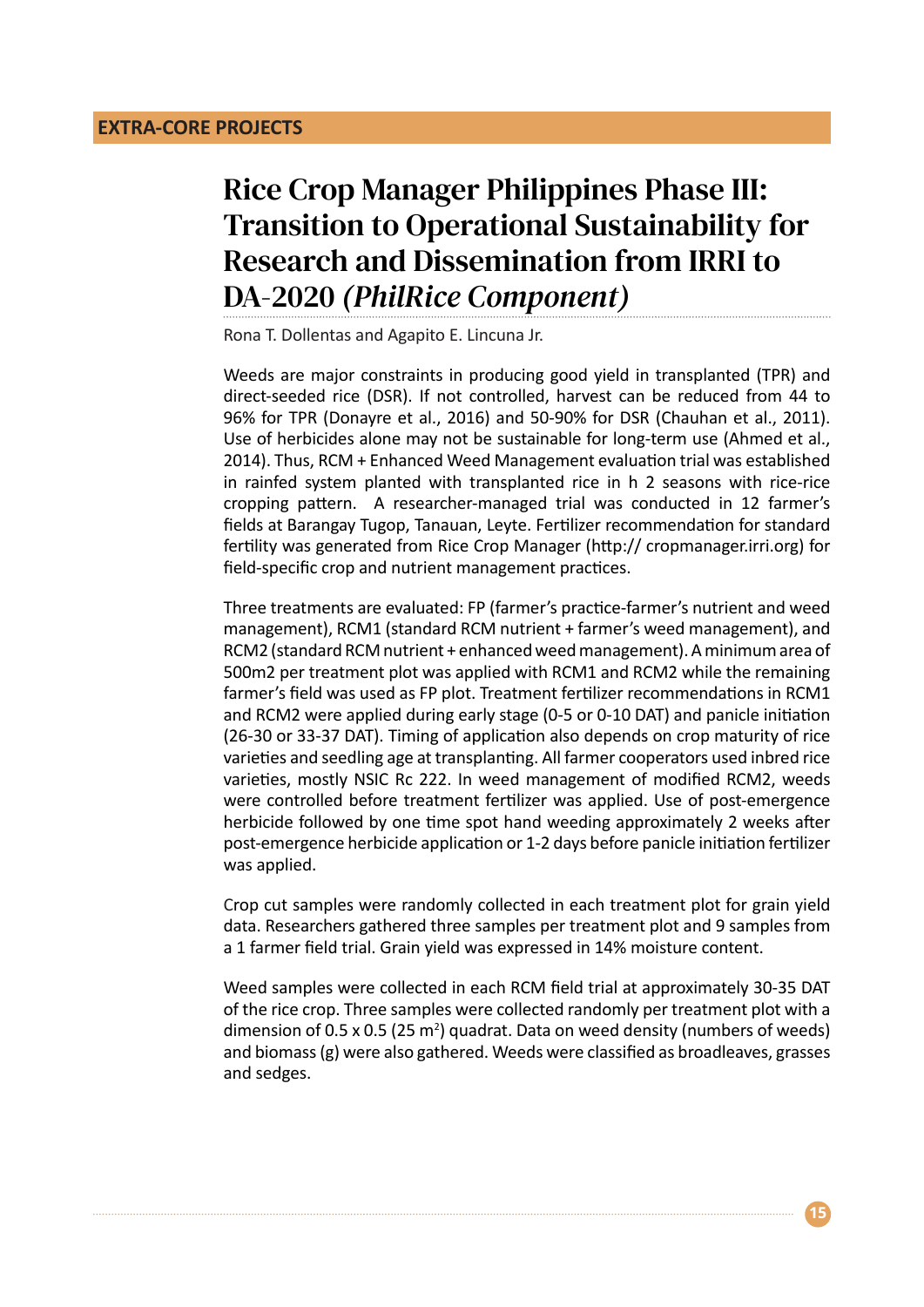# Rice Crop Manager Philippines Phase III: Transition to Operational Sustainability for Research and Dissemination from IRRI to DA-2020 *(PhilRice Component)*

Rona T. Dollentas and Agapito E. Lincuna Jr.

Weeds are major constraints in producing good yield in transplanted (TPR) and direct-seeded rice (DSR). If not controlled, harvest can be reduced from 44 to 96% for TPR (Donayre et al., 2016) and 50-90% for DSR (Chauhan et al., 2011). Use of herbicides alone may not be sustainable for long-term use (Ahmed et al., 2014). Thus, RCM + Enhanced Weed Management evaluation trial was established in rainfed system planted with transplanted rice in h 2 seasons with rice-rice cropping pattern. A researcher-managed trial was conducted in 12 farmer's fields at Barangay Tugop, Tanauan, Leyte. Fertilizer recommendation for standard fertility was generated from Rice Crop Manager (http:// cropmanager.irri.org) for field-specific crop and nutrient management practices.

Three treatments are evaluated: FP (farmer's practice-farmer's nutrient and weed management), RCM1 (standard RCM nutrient + farmer's weed management), and RCM2 (standard RCM nutrient + enhanced weed management). A minimum area of 500m2 per treatment plot was applied with RCM1 and RCM2 while the remaining farmer's field was used as FP plot. Treatment fertilizer recommendations in RCM1 and RCM2 were applied during early stage (0-5 or 0-10 DAT) and panicle initiation (26-30 or 33-37 DAT). Timing of application also depends on crop maturity of rice varieties and seedling age at transplanting. All farmer cooperators used inbred rice varieties, mostly NSIC Rc 222. In weed management of modified RCM2, weeds were controlled before treatment fertilizer was applied. Use of post-emergence herbicide followed by one time spot hand weeding approximately 2 weeks after post-emergence herbicide application or 1-2 days before panicle initiation fertilizer was applied.

Crop cut samples were randomly collected in each treatment plot for grain yield data. Researchers gathered three samples per treatment plot and 9 samples from a 1 farmer field trial. Grain yield was expressed in 14% moisture content.

Weed samples were collected in each RCM field trial at approximately 30-35 DAT of the rice crop. Three samples were collected randomly per treatment plot with a dimension of 0.5 x 0.5 (25 m<sup>2</sup>) quadrat. Data on weed density (numbers of weeds) and biomass (g) were also gathered. Weeds were classified as broadleaves, grasses and sedges.